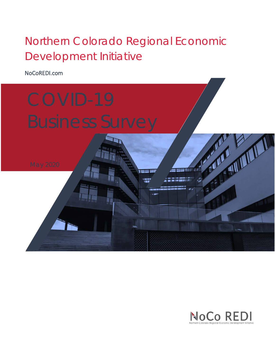# Northern Colorado Regional Economic Development Initiative

NoCoREDI.com



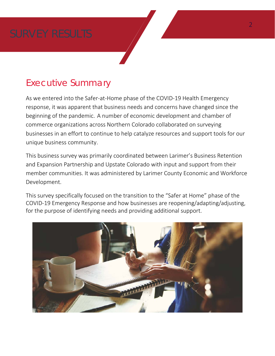# Executive Summary

As we entered into the Safer-at-Home phase of the COVID-19 Health Emergency response, it was apparent that business needs and concerns have changed since the beginning of the pandemic. A number of economic development and chamber of commerce organizations across Northern Colorado collaborated on surveying businesses in an effort to continue to help catalyze resources and support tools for our unique business community.

This business survey was primarily coordinated between Larimer's Business Retention and Expansion Partnership and Upstate Colorado with input and support from their member communities. It was administered by Larimer County Economic and Workforce Development.

This survey specifically focused on the transition to the "Safer at Home" phase of the COVID-19 Emergency Response and how businesses are reopening/adapting/adjusting, for the purpose of identifying needs and providing additional support.

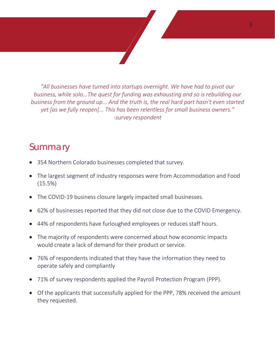*"All businesses have turned into startups overnight. We have had to pivot our business, while solo...The quest for funding was exhausting and so is rebuilding our business from the ground up... And the truth is, the real hard part hasn't even started yet [as we fully reopen]... This has been relentless for small business owners." -survey respondent*

## Summary

- 354 Northern Colorado businesses completed that survey.
- The largest segment of industry responses were from Accommodation and Food (15.5%)
- The COVID-19 business closure largely impacted small businesses.
- 62% of businesses reported that they did not close due to the COVID Emergency.
- 44% of respondents have furloughed employees or reduces staff hours.
- The majority of respondents were concerned about how economic impacts would create a lack of demand for their product or service.
- 76% of respondents indicated that they have the information they need to operate safely and compliantly
- 71% of survey respondents applied the Payroll Protection Program (PPP).
- Of the applicants that successfully applied for the PPP, 78% received the amount they requested.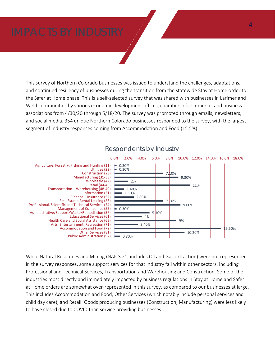This survey of Northern Colorado businesses was issued to understand the challenges, adaptations, and continued resiliency of businesses during the transition from the statewide Stay at Home order to the Safer at Home phase. This is a self-selected survey that was shared with businesses in Larimer and Weld communities by various economic development offices, chambers of commerce, and business associations from 4/30/20 through 5/18/20. The survey was promoted through emails, newsletters, and social media. 354 unique Northern Colorado businesses responded to the survey, with the largest segment of industry responses coming from Accommodation and Food (15.5%).



### Respondents by Industry

While Natural Resources and Mining (NAICS 21, includes Oil and Gas extraction) were not represented in the survey responses, some support services for that industry fall within other sectors, including Professional and Technical Services, Transportation and Warehousing and Construction. Some of the industries most directly and immediately impacted by business regulations in Stay at Home and Safer at Home orders are somewhat over-represented in this survey, as compared to our businesses at large. This includes Accommodation and Food, Other Services (which notably include personal services and child day care), and Retail. Goods producing businesses (Construction, Manufacturing) were less likely to have closed due to COVID than service providing businesses.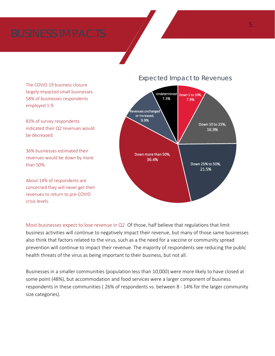The COVID-19 business closure largely impacted small businesses. 58% of businesses respondents employed 1-9.

83% of survey respondents indicated their Q2 revenues would be decreased.

36% businesses estimated their revenues would be down by more than 50%.

About 14% of respondents are concerned they will never get their revenues to return to pre-COVID crisis levels.

### Expected Impact to Revenues



Most businesses expect to lose revenue in Q2. Of those, half believe that regulations that limit business activities will continue to negatively impact their revenue, but many of those same businesses also think that factors related to the virus, such as a the need for a vaccine or community spread prevention will continue to impact their revenue. The majority of respondents see reducing the public health threats of the virus as being important to their business, but not all.

Businesses in a smaller communities (population less than 10,000) were more likely to have closed at some point (48%), but accommodation and food services were a larger component of business respondents in these communities ( 26% of respondents vs. between 8 - 14% for the larger community size categories).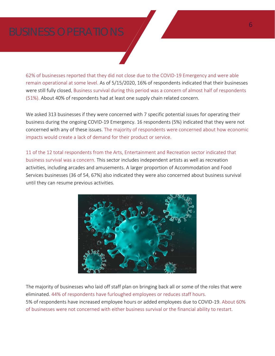62% of businesses reported that they did not close due to the COVID-19 Emergency and were able remain operational at some level. As of 5/15/2020, 16% of respondents indicated that their businesses were still fully closed. Business survival during this period was a concern of almost half of respondents (51%). About 40% of respondents had at least one supply chain related concern.

We asked 313 businesses if they were concerned with 7 specific potential issues for operating their business during the ongoing COVID-19 Emergency. 16 respondents (5%) indicated that they were not concerned with any of these issues. The majority of respondents were concerned about how economic impacts would create a lack of demand for their product or service.

11 of the 12 total respondents from the Arts, Entertainment and Recreation sector indicated that business survival was a concern. This sector includes independent artists as well as recreation activities, including arcades and amusements. A larger proportion of Accommodation and Food Services businesses (36 of 54, 67%) also indicated they were also concerned about business survival until they can resume previous activities.



The majority of businesses who laid off staff plan on bringing back all or some of the roles that were eliminated. 44% of respondents have furloughed employees or reduces staff hours. 5% of respondents have increased employee hours or added employees due to COVID-19. About 60% of businesses were not concerned with either business survival or the financial ability to restart.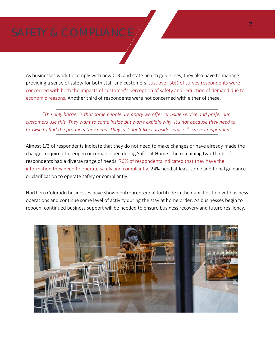As businesses work to comply with new CDC and state health guidelines, they also have to manage providing a sense of safety for both staff and customers. Just over 30% of survey respondents were concerned with both the impacts of customer's perception of safety and reduction of demand due to economic reasons. Another third of respondents were not concerned with either of these.

*"The only barrier is that some people are angry we offer curbside service and prefer our customers use this. They want to come inside but won't explain why. It's not because they need to browse to find the products they need. They just don't like curbside service." -survey respondent*

Almost 1/3 of respondents indicate that they do not need to make changes or have already made the changes required to reopen or remain open during Safer at Home. The remaining two-thirds of respondents had a diverse range of needs. 76% of respondents indicated that they have the information they need to operate safely and compliantly; 24% need at least some additional guidance or clarification to operate safely or compliantly.

Northern Colorado businesses have shown entreprenteurial fortitude in their abilities to pivot business operations and continue some level of activity during the stay at home order. As businesses begin to repoen, continued business support will be needed to ensure business recovery and future resiliency.

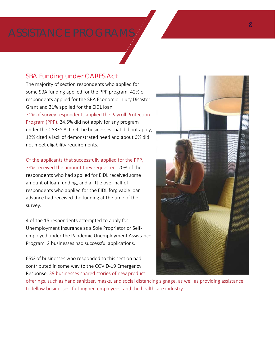### SBA Funding under CARES Act

The majority of section respondents who applied for some SBA funding applied for the PPP program. 42% of respondents applied for the SBA Economic Injury Disaster Grant and 31% applied for the EIDL loan. 71% of survey respondents applied the Payroll Protection Program (PPP). 24.5% did not apply for any program under the CARES Act. Of the businesses that did not apply, 12% cited a lack of demonstrated need and about 6% did

not meet eligibility requirements.

Of the applicants that successfully applied for the PPP, 78% received the amount they requested. 20% of the respondents who had applied for EIDL received some amount of loan funding, and a little over half of

respondents who applied for the EIDL forgivable loan advance had received the funding at the time of the survey.

4 of the 15 respondents attempted to apply for Unemployment Insurance as a Sole Proprietor or Selfemployed under the Pandemic Unemployment Assistance Program. 2 businesses had successful applications.

65% of businesses who responded to this section had contributed in some way to the COVID-19 Emergency Response. 39 businesses shared stories of new product



offerings, such as hand sanitizer, masks, and social distancing signage, as well as providing assistance to fellow businesses, furloughed employees, and the healthcare industry.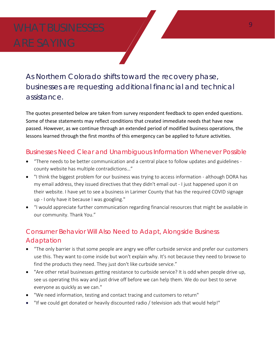As Northern Colorado shifts toward the recovery phase, businesses are requesting additional financial and technical assistance.

The quotes presented below are taken from survey respondent feedback to open ended questions. Some of these statements may reflect conditions that created immediate needs that have now passed. However, as we continue through an extended period of modified business operations, the lessons learned through the first months of this emergency can be applied to future activities.

### Businesses Need Clear and Unambiguous Information Whenever Possible

- "There needs to be better communication and a central place to follow updates and guidelines county website has multiple contradictions…"
- "I think the biggest problem for our business was trying to access information although DORA has my email address, they issued directives that they didn't email out - I just happened upon it on their website. I have yet to see a business in Larimer County that has the required COVID signage up - I only have it because I was googling."
- "I would appreciate further communication regarding financial resources that might be available in our community. Thank You."

### Consumer Behavior Will Also Need to Adapt, Alongside Business Adaptation

- "The only barrier is that some people are angry we offer curbside service and prefer our customers use this. They want to come inside but won't explain why. It's not because they need to browse to find the products they need. They just don't like curbside service."
- "Are other retail businesses getting resistance to curbside service? It is odd when people drive up, see us operating this way and just drive off before we can help them. We do our best to serve everyone as quickly as we can."
- "We need information, testing and contact tracing and customers to return"
- "If we could get donated or heavily discounted radio / television ads that would help!"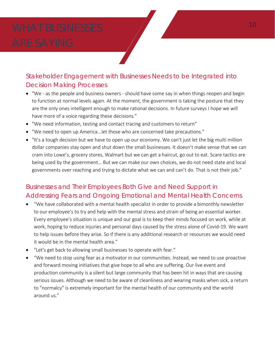### Stakeholder Engagement with Businesses Needs to be Integrated into Decision Making Processes

- "We as the people and business owners should have some say in when things reopen and begin to function at normal levels again. At the moment, the government is taking the posture that they are the only ones intelligent enough to make rational decisions. In future surveys I hope we will have more of a voice regarding these decisions."
- "We need information, testing and contact tracing and customers to return"
- "We need to open up America...let those who are concerned take precautions."
- "It's a tough decision but we have to open up our economy. We can't just let the big multi million dollar companies stay open and shut down the small businesses. It doesn't make sense that we can cram into Lowe's, grocery stores, Walmart but we can get a haircut, go out to eat. Scare tactics are being used by the government… But we can make our own choices, we do not need state and local governments over reaching and trying to dictate what we can and can't do. That is not their job."

### Businesses and Their Employees Both Give and Need Support in Addressing Fears and Ongoing Emotional and Mental Health Concerns

- "We have collaborated with a mental health specialist in order to provide a bimonthly newsletter to our employee's to try and help with the mental stress and strain of being an essential worker. Every employee's situation is unique and our goal is to keep their minds focused on work, while at work, hoping to reduce injuries and personal days caused by the stress alone of Covid-19. We want to help issues before they arise. So if there is any additional research or resources we would need it would be in the mental health area."
- "Let's get back to allowing small businesses to operate with fear."
- "We need to stop using fear as a motivator in our communities. Instead, we need to use proactive and forward moving initiatives that give hope to all who are suffering. Our live event and production community is a silent but large community that has been hit in ways that are causing serious issues. Although we need to be aware of cleanliness and wearing masks when sick, a return to "normalcy" is extremely important for the mental health of our community and the world around us."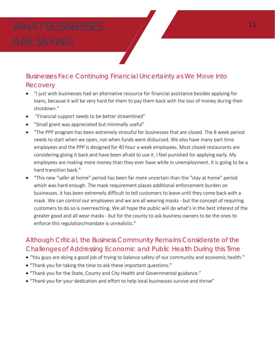### Businesses Face Continuing Financial Uncertainty as We Move Into Recovery

- "I just wish businesses had an alternative resource for financial assistance besides applying for loans, because it will be very hard for them to pay them back with the loss of money during their shutdown."
- "Financial support needs to be better streamlined"
- "Small grant was appreciated but minimally useful"
- "The PPP program has been extremely stressful for businesses that are closed. The 8 week period needs to start when we open, not when funds were disbursed. We also have many part time employees and the PPP is designed for 40 hour a week employees. Most closed restaurants are considering giving it back and have been afraid to use it. I feel punished for applying early. My employees are making more money than they ever have while in unemployment. It is going to be a hard transition back."
- "This new "safer at home" period has been far more uncertain than the "stay at home" period which was hard enough. The mask requirement places additional enforcement burden on businesses. it has been extremely difficult to tell customers to leave until they come back with a mask. We can control our employees and we are all wearing masks - but the concept of requiring customers to do so is overreaching. We all hope the public will do what's in the best interest of the greater good and all wear masks - but for the county to ask business owners to be the ones to enforce this regulation/mandate is unrealistic."

### Although Critical, the Business Community Remains Considerate of the Challenges of Addressing Economic and Public Health During this Time

- "You guys are doing a good job of trying to balance safety of our community and economic health."
- "Thank you for taking the time to ask these important questions."
- "Thank you for the State, County and City Health and Governmental guidance."
- "Thank you for your dedication and effort to help local businesses survive and thrive"